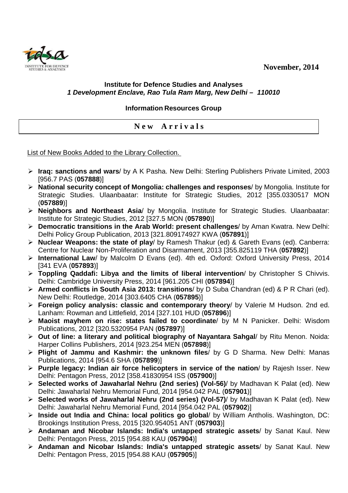**November, 2014** 



## **Institute for Defence Studies and Analyses 1 Development Enclave, Rao Tula Ram Marg, New Delhi – 110010**

**Information Resources Group** 

**N e w A r r i v a l s** 

List of New Books Added to the Library Collection.

- **Iraq: sanctions and wars**/ by A K Pasha. New Delhi: Sterling Publishers Private Limited, 2003 [956.7 PAS (**057888**)]
- **National security concept of Mongolia: challenges and responses**/ by Mongolia. Institute for Strategic Studies. Ulaanbaatar: Institute for Strategic Studies, 2012 [355.0330517 MON (**057889**)]
- **Neighbors and Northeast Asia**/ by Mongolia. Institute for Strategic Studies. Ulaanbaatar: Institute for Strategic Studies, 2012 [327.5 MON (**057890**)]
- **Democratic transitions in the Arab World: present challenges**/ by Aman Kwatra. New Delhi: Delhi Policy Group Publication, 2013 [321.809174927 KWA (**057891**)]
- **Nuclear Weapons: the state of play**/ by Ramesh Thakur (ed) & Gareth Evans (ed). Canberra: Centre for Nuclear Non-Proliferation and Disarmament, 2013 [355.825119 THA (**057892**)]
- **International Law**/ by Malcolm D Evans (ed). 4th ed. Oxford: Oxford University Press, 2014 [341 EVA (**057893**)]
- **Toppling Qaddafi: Libya and the limits of liberal intervention**/ by Christopher S Chivvis. Delhi: Cambridge University Press, 2014 [961.205 CHI (**057894**)]
- **Armed conflicts in South Asia 2013: transitions**/ by D Suba Chandran (ed) & P R Chari (ed). New Delhi: Routledge, 2014 [303.6405 CHA (**057895**)]
- **Foreign policy analysis: classic and contemporary theory**/ by Valerie M Hudson. 2nd ed. Lanham: Rowman and Littlefield, 2014 [327.101 HUD (**057896**)]
- **Maoist mayhem on rise: states failed to coordinate**/ by M N Panicker. Delhi: Wisdom Publications, 2012 [320.5320954 PAN (**057897**)]
- **Out of line: a literary and political biography of Nayantara Sahgal**/ by Ritu Menon. Noida: Harper Collins Publishers, 2014 [923.254 MEN (**057898**)]
- **Plight of Jammu and Kashmir: the unknown files**/ by G D Sharma. New Delhi: Manas Publications, 2014 [954.6 SHA (**057899**)]
- **Purple legacy: Indian air force helicopters in service of the nation**/ by Rajesh Isser. New Delhi: Pentagon Press, 2012 [358.41830954 ISS (**057900**)]
- **Selected works of Jawaharlal Nehru (2nd series) (Vol-56)**/ by Madhavan K Palat (ed). New Delhi: Jawaharlal Nehru Memorial Fund, 2014 [954.042 PAL (**057901**)]
- **Selected works of Jawaharlal Nehru (2nd series) (Vol-57)**/ by Madhavan K Palat (ed). New Delhi: Jawaharlal Nehru Memorial Fund, 2014 [954.042 PAL (**057902**)]
- **Inside out India and China: local politics go global**/ by William Antholis. Washington, DC: Brookings Institution Press, 2015 [320.954051 ANT (**057903**)]
- **Andaman and Nicobar Islands: India's untapped strategic assets**/ by Sanat Kaul. New Delhi: Pentagon Press, 2015 [954.88 KAU (**057904**)]
- **Andaman and Nicobar Islands: India's untapped strategic assets**/ by Sanat Kaul. New Delhi: Pentagon Press, 2015 [954.88 KAU (**057905**)]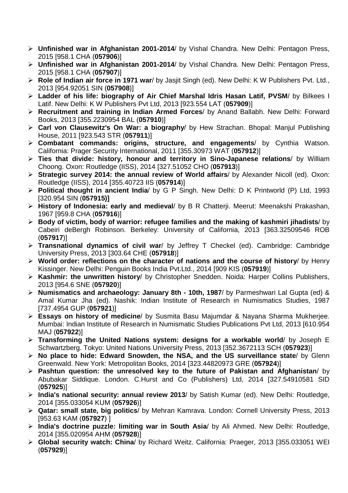- **Unfinished war in Afghanistan 2001-2014**/ by Vishal Chandra. New Delhi: Pentagon Press, 2015 [958.1 CHA (**057906**)]
- **Unfinished war in Afghanistan 2001-2014**/ by Vishal Chandra. New Delhi: Pentagon Press, 2015 [958.1 CHA (**057907**)]
- **Role of Indian air force in 1971 war**/ by Jasjit Singh (ed). New Delhi: K W Publishers Pvt. Ltd., 2013 [954.92051 SIN (**057908**)]
- **Ladder of his life: biography of Air Chief Marshal Idris Hasan Latif, PVSM**/ by Bilkees I Latif. New Delhi: K W Publishers Pvt Ltd, 2013 [923.554 LAT (**057909**)]
- **Recruitment and training in Indian Armed Forces**/ by Anand Ballabh. New Delhi: Forward Books, 2013 [355.2230954 BAL (**057910**)]
- **Carl von Clausewitz's On War: a biography**/ by Hew Strachan. Bhopal: Manjul Publishing House, 2011 [923.543 STR (**057911**)]
- **Combatant commands: origins, structure, and engagements**/ by Cynthia Watson. California: Prager Security International, 2011 [355.30973 WAT (**057912**)]
- **Ties that divide: history, honour and territory in Sino-Japanese relations**/ by William Choong. Oxon: Routledge (IISS), 2014 [327.51052 CHO (**057913**)]
- **Strategic survey 2014: the annual review of World affairs**/ by Alexander Nicoll (ed). Oxon: Routledge (IISS), 2014 [355.40723 IIS (**057914**)]
- **Political thought in ancient India**/ by G P Singh. New Delhi: D K Printworld (P) Ltd, 1993 [320.954 SIN (**057915)]**
- **History of Indonesia: early and medieval**/ by B R Chatterji. Meerut: Meenakshi Prakashan, 1967 [959.8 CHA (**057916**)]
- **Body of victim, body of warrior: refugee families and the making of kashmiri jihadists**/ by Cabeiri deBergh Robinson. Berkeley: University of California, 2013 [363.32509546 ROB (**057917**)]
- **Transnational dynamics of civil war**/ by Jeffrey T Checkel (ed). Cambridge: Cambridge University Press, 2013 [303.64 CHE (**057918**)]
- **World order: reflections on the character of nations and the course of history**/ by Henry Kissinger. New Delhi: Penguin Books India Pvt.Ltd., 2014 [909 KIS (**057919**)]
- **Kashmir: the unwritten history**/ by Christopher Snedden. Noida: Harper Collins Publishers, 2013 [954.6 SNE (**057920**)]
- **Numismatics and archaeology: January 8th 10th, 1987**/ by Parmeshwari Lal Gupta (ed) & Amal Kumar Jha (ed). Nashik: Indian Institute of Research in Numismatics Studies, 1987 [737.4954 GUP (**057921**)]
- **Essays on history of medicine**/ by Susmita Basu Majumdar & Nayana Sharma Mukherjee. Mumbai: Indian Institute of Research in Numismatic Studies Publications Pvt Ltd, 2013 [610.954 MAJ (**057922**)]
- **Transforming the United Nations system: designs for a workable world**/ by Joseph E Schwartzberg. Tokyo: United Nations University Press, 2013 [352.3672113 SCH (**057923**)]
- **No place to hide: Edward Snowden, the NSA, and the US surveillance state**/ by Glenn Greenwald. New York: Metropolitan Books, 2014 [323.44820973 GRE (**057924**)]
- **Pashtun question: the unresolved key to the future of Pakistan and Afghanistan**/ by Abubakar Siddique. London. C.Hurst and Co (Publishers) Ltd, 2014 [327.54910581 SID (**057925**)]
- **India's national security: annual review 2013**/ by Satish Kumar (ed). New Delhi: Routledge, 2014 [355.033054 KUM (**057926**)]
- **Qatar: small state, big politics**/ by Mehran Kamrava. London: Cornell University Press, 2013 [953.63 KAM (**057927**) ]
- **India's doctrine puzzle: limiting war in South Asia**/ by Ali Ahmed. New Delhi: Routledge, 2014 [355.020954 AHM (**057928**)]
- **Global security watch: China**/ by Richard Weitz. California: Praeger, 2013 [355.033051 WEI (**057929**)]